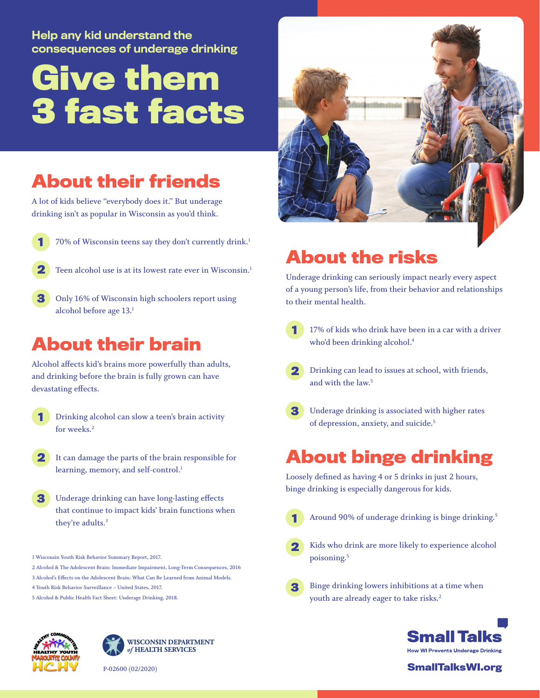#### Help any kid understand the consequences of underage drinking

# **Give them 3 fast facts**

### **About their friends**

**A lot of kids believe "everybody does it." But underage drinking isn't as popular in Wisconsin as you'd think.**

- **70% of Wisconsin teens say they don't currently drink.1 1**
- **Teen alcohol use is at its lowest rate ever in Wisconsin.1 2**
- **Only 16% of Wisconsin high schoolers report using alcohol before age 13.1 3**

### **About their brain**

**Alcohol affects kid's brains more powerfully than adults, and drinking before the brain is fully grown can have devastating effects.**

- **Drinking alcohol can slow a teen's brain activity for weeks.2 1**
- **It can damage the parts of the brain responsible for 2 learning, memory, and self-control.1**
- **Underage drinking can have long-lasting effects that continue to impact kids' brain functions when they're adults.3 3**
- **1 Wisconsin Youth Risk Behavior Summary Report, 2017.**
- **2 Alcohol & The Adolescent Brain: Immediate Impairment, Long-Term Consequences, 2016**
- **3 Alcohol's Effects on the Adolescent Brain: What Can Be Learned from Animal Models.**
- **4 Youth Risk Behavior Surveillance United States, 2017.**
- **5 Alcohol & Public Health Fact Sheet: Underage Drinking, 2018.**





**P-02600 (02/2020)**



## **About the risks**

**Underage drinking can seriously impact nearly every aspect of a young person's life, from their behavior and relationships to their mental health.**

- **17% of kids who drink have been in a car with a driver who'd been drinking alcohol.4 1**
- **Drinking can lead to issues at school, with friends, and with the law.5 2**
- **Underage drinking is associated with higher rates 3 of depression, anxiety, and suicide.5**

#### **About binge drinking**

**Loosely defined as having 4 or 5 drinks in just 2 hours, binge drinking is especially dangerous for kids.**

- **1**
- **Around 90% of underage drinking is binge drinking.5**
- **Kids who drink are more likely to experience alcohol poisoning.5 2**
- **Binge drinking lowers inhibitions at a time when youth are already eager to take risks.2 3**



#### **SmallTalksWI.org**